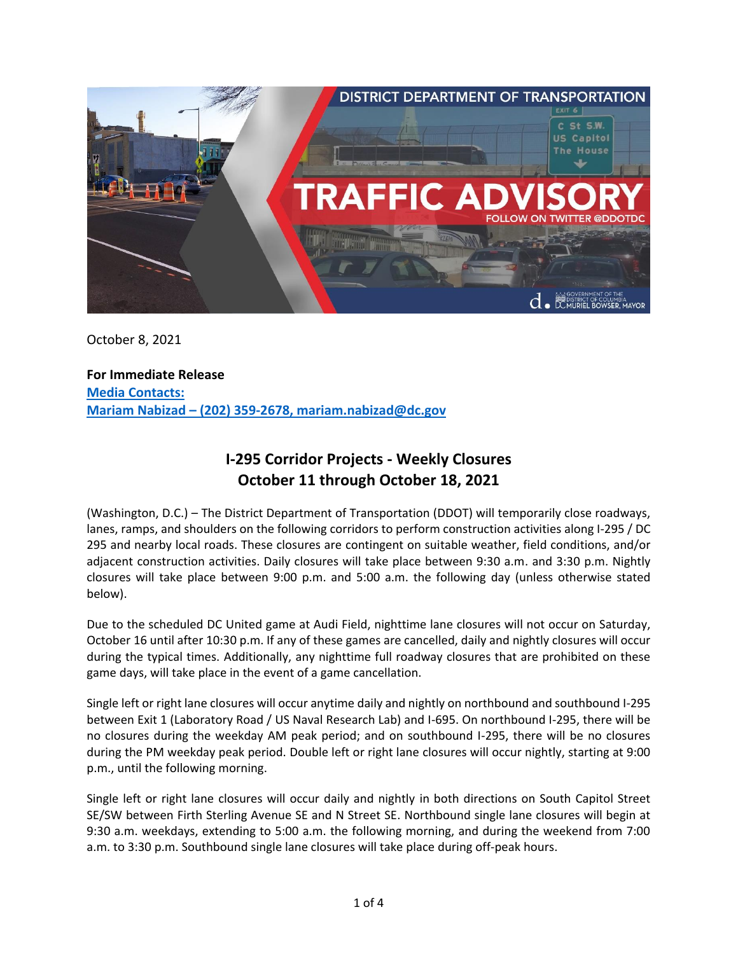

October 8, 2021

**For Immediate Release Media Contacts: Mariam Nabizad – (202) 359-2678, mariam.nabizad@dc.gov**

# **I-295 Corridor Projects - Weekly Closures October 11 through October 18, 2021**

(Washington, D.C.) – The District Department of Transportation (DDOT) will temporarily close roadways, lanes, ramps, and shoulders on the following corridors to perform construction activities along I-295 / DC 295 and nearby local roads. These closures are contingent on suitable weather, field conditions, and/or adjacent construction activities. Daily closures will take place between 9:30 a.m. and 3:30 p.m. Nightly closures will take place between 9:00 p.m. and 5:00 a.m. the following day (unless otherwise stated below).

Due to the scheduled DC United game at Audi Field, nighttime lane closures will not occur on Saturday, October 16 until after 10:30 p.m. If any of these games are cancelled, daily and nightly closures will occur during the typical times. Additionally, any nighttime full roadway closures that are prohibited on these game days, will take place in the event of a game cancellation.

Single left or right lane closures will occur anytime daily and nightly on northbound and southbound I-295 between Exit 1 (Laboratory Road / US Naval Research Lab) and I-695. On northbound I-295, there will be no closures during the weekday AM peak period; and on southbound I-295, there will be no closures during the PM weekday peak period. Double left or right lane closures will occur nightly, starting at 9:00 p.m., until the following morning.

Single left or right lane closures will occur daily and nightly in both directions on South Capitol Street SE/SW between Firth Sterling Avenue SE and N Street SE. Northbound single lane closures will begin at 9:30 a.m. weekdays, extending to 5:00 a.m. the following morning, and during the weekend from 7:00 a.m. to 3:30 p.m. Southbound single lane closures will take place during off-peak hours.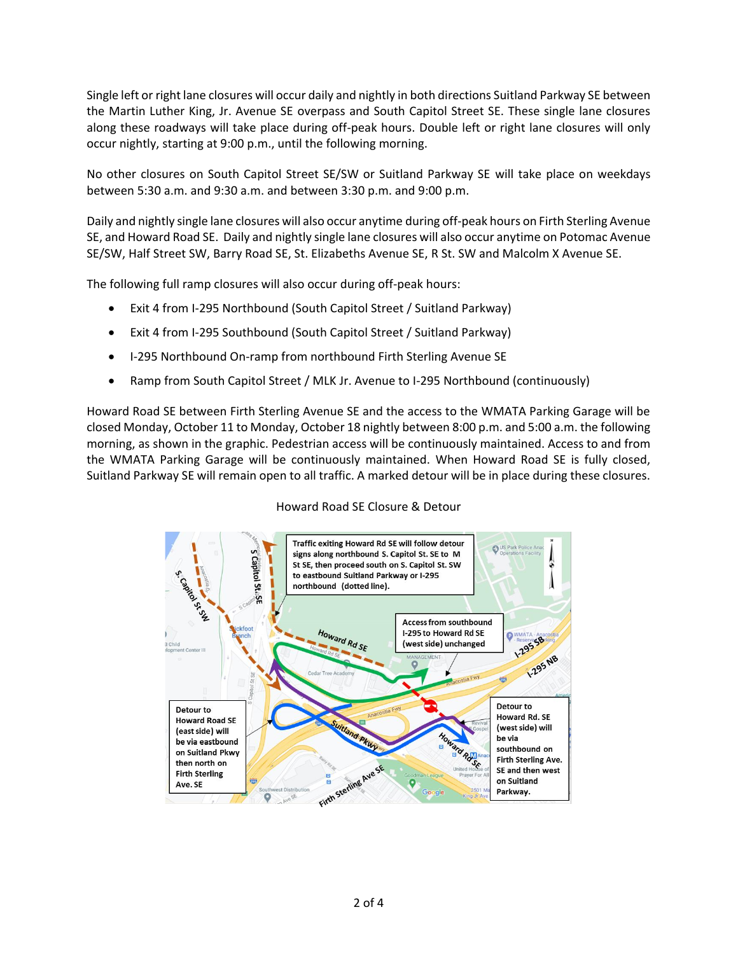Single left or right lane closures will occur daily and nightly in both directions Suitland Parkway SE between the Martin Luther King, Jr. Avenue SE overpass and South Capitol Street SE. These single lane closures along these roadways will take place during off-peak hours. Double left or right lane closures will only occur nightly, starting at 9:00 p.m., until the following morning.

No other closures on South Capitol Street SE/SW or Suitland Parkway SE will take place on weekdays between 5:30 a.m. and 9:30 a.m. and between 3:30 p.m. and 9:00 p.m.

Daily and nightly single lane closures will also occur anytime during off-peak hours on Firth Sterling Avenue SE, and Howard Road SE. Daily and nightly single lane closures will also occur anytime on Potomac Avenue SE/SW, Half Street SW, Barry Road SE, St. Elizabeths Avenue SE, R St. SW and Malcolm X Avenue SE.

The following full ramp closures will also occur during off-peak hours:

- Exit 4 from I-295 Northbound (South Capitol Street / Suitland Parkway)
- Exit 4 from I-295 Southbound (South Capitol Street / Suitland Parkway)
- I-295 Northbound On-ramp from northbound Firth Sterling Avenue SE
- Ramp from South Capitol Street / MLK Jr. Avenue to I-295 Northbound (continuously)

Howard Road SE between Firth Sterling Avenue SE and the access to the WMATA Parking Garage will be closed Monday, October 11 to Monday, October 18 nightly between 8:00 p.m. and 5:00 a.m. the following morning, as shown in the graphic. Pedestrian access will be continuously maintained. Access to and from the WMATA Parking Garage will be continuously maintained. When Howard Road SE is fully closed, Suitland Parkway SE will remain open to all traffic. A marked detour will be in place during these closures.



## Howard Road SE Closure & Detour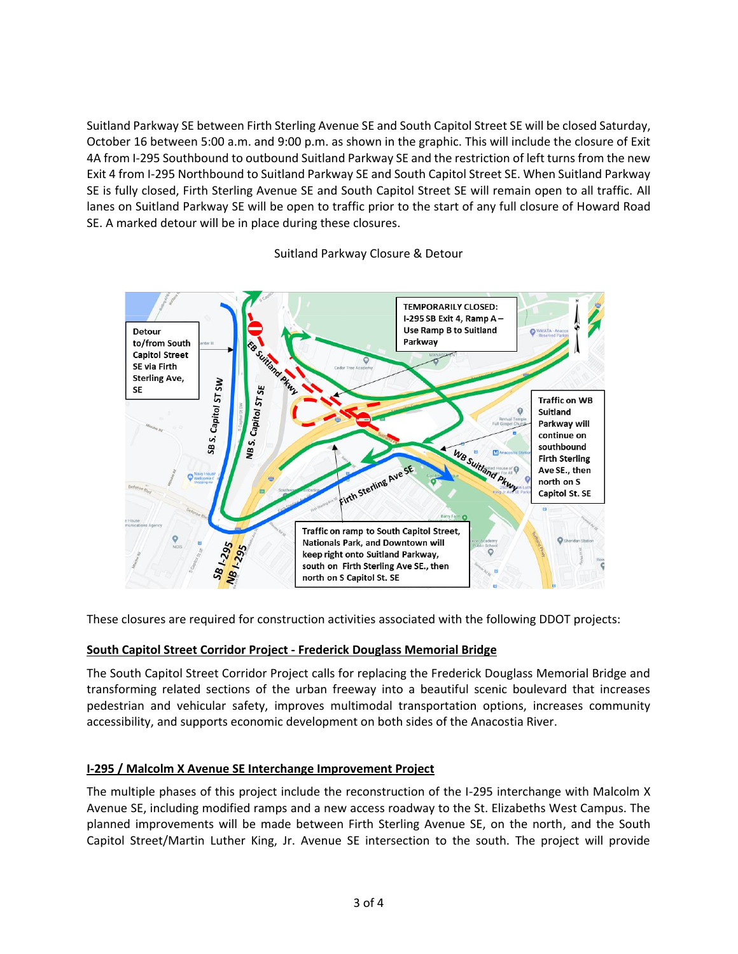Suitland Parkway SE between Firth Sterling Avenue SE and South Capitol Street SE will be closed Saturday, October 16 between 5:00 a.m. and 9:00 p.m. as shown in the graphic. This will include the closure of Exit 4A from I-295 Southbound to outbound Suitland Parkway SE and the restriction of left turns from the new Exit 4 from I-295 Northbound to Suitland Parkway SE and South Capitol Street SE. When Suitland Parkway SE is fully closed, Firth Sterling Avenue SE and South Capitol Street SE will remain open to all traffic. All lanes on Suitland Parkway SE will be open to traffic prior to the start of any full closure of Howard Road SE. A marked detour will be in place during these closures.



## Suitland Parkway Closure & Detour

These closures are required for construction activities associated with the following DDOT projects:

## **South Capitol Street Corridor Project - Frederick Douglass Memorial Bridge**

The South Capitol Street Corridor Project calls for replacing the Frederick Douglass Memorial Bridge and transforming related sections of the urban freeway into a beautiful scenic boulevard that increases pedestrian and vehicular safety, improves multimodal transportation options, increases community accessibility, and supports economic development on both sides of the Anacostia River.

## **I-295 / Malcolm X Avenue SE Interchange Improvement Project**

The multiple phases of this project include the reconstruction of the I-295 interchange with Malcolm X Avenue SE, including modified ramps and a new access roadway to the St. Elizabeths West Campus. The planned improvements will be made between Firth Sterling Avenue SE, on the north, and the South Capitol Street/Martin Luther King, Jr. Avenue SE intersection to the south. The project will provide